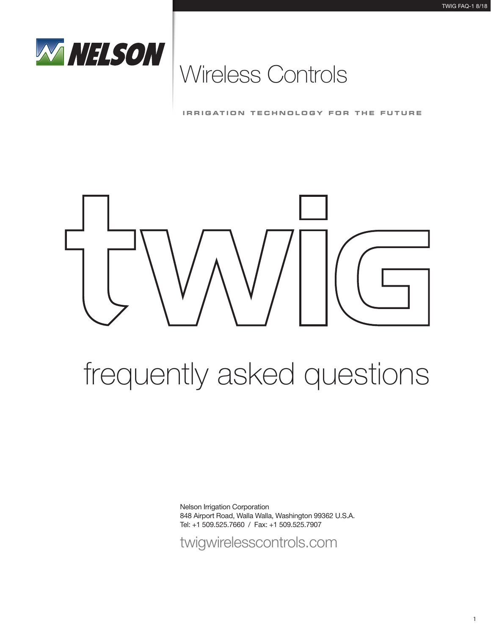

## Wireless Controls

**IRR IGAT ION TECHNOLOGY FOR THE FUTURE**



# frequently asked questions

Nelson Irrigation Corporation 848 Airport Road, Walla Walla, Washington 99362 U.S.A. Tel: +1 509.525.7660 / Fax: +1 509.525.7907

twigwirelesscontrols.com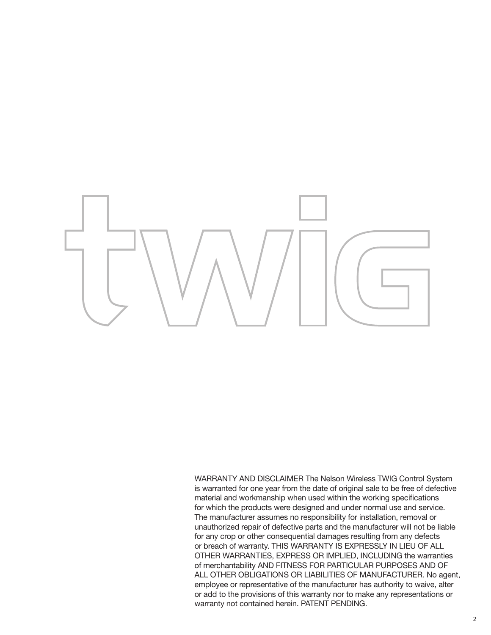

WARRANTY AND DISCLAIMER The Nelson Wireless TWIG Control System is warranted for one year from the date of original sale to be free of defective material and workmanship when used within the working specifications for which the products were designed and under normal use and service. The manufacturer assumes no responsibility for installation, removal or unauthorized repair of defective parts and the manufacturer will not be liable for any crop or other consequential damages resulting from any defects or breach of warranty. THIS WARRANTY IS EXPRESSLY IN LIEU OF ALL OTHER WARRANTIES, EXPRESS OR IMPLIED, INCLUDING the warranties of merchantability AND FITNESS FOR PARTICULAR PURPOSES AND OF ALL OTHER OBLIGATIONS OR LIABILITIES OF MANUFACTURER. No agent, employee or representative of the manufacturer has authority to waive, alter or add to the provisions of this warranty nor to make any representations or warranty not contained herein. PATENT PENDING.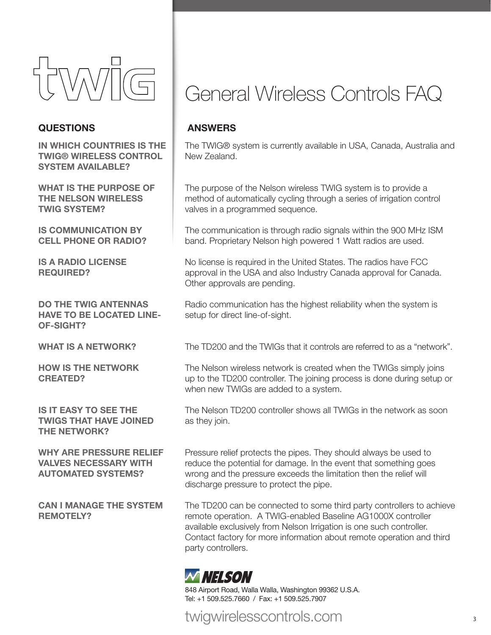

IN WHICH COUNTRIES IS THE TWIG® WIRELESS CONTROL SYSTEM AVAILABLE?

WHAT IS THE PURPOSE OF THE NELSON WIRELESS TWIG SYSTEM?

IS COMMUNICATION BY CELL PHONE OR RADIO?

IS A RADIO LICENSE REQUIRED?

DO THE TWIG ANTENNAS HAVE TO BE LOCATED LINE-OF-SIGHT?

WHAT IS A NETWORK?

HOW IS THE NETWORK CREATED?

IS IT EASY TO SEE THE TWIGS THAT HAVE JOINED THE NETWORK?

WHY ARE PRESSURE RELIEF VALVES NECESSARY WITH AUTOMATED SYSTEMS?

CAN I MANAGE THE SYSTEM REMOTELY?

### General Wireless Controls FAQ

The TWIG® system is currently available in USA, Canada, Australia and New Zealand.

The purpose of the Nelson wireless TWIG system is to provide a method of automatically cycling through a series of irrigation control valves in a programmed sequence.

The communication is through radio signals within the 900 MHz ISM band. Proprietary Nelson high powered 1 Watt radios are used.

No license is required in the United States. The radios have FCC approval in the USA and also Industry Canada approval for Canada. Other approvals are pending.

Radio communication has the highest reliability when the system is setup for direct line-of-sight.

The TD200 and the TWIGs that it controls are referred to as a "network".

The Nelson wireless network is created when the TWIGs simply joins up to the TD200 controller. The joining process is done during setup or when new TWIGs are added to a system.

The Nelson TD200 controller shows all TWIGs in the network as soon as they join.

Pressure relief protects the pipes. They should always be used to reduce the potential for damage. In the event that something goes wrong and the pressure exceeds the limitation then the relief will discharge pressure to protect the pipe.

The TD200 can be connected to some third party controllers to achieve remote operation. A TWIG-enabled Baseline AG1000X controller available exclusively from Nelson Irrigation is one such controller. Contact factory for more information about remote operation and third party controllers.

### MMJSOM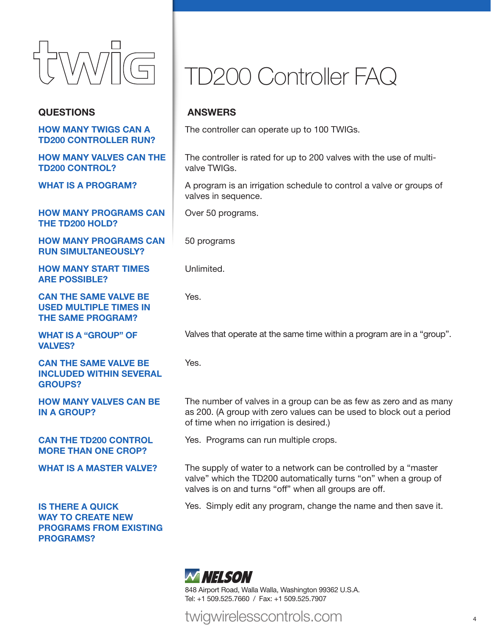

#### HOW MANY TWIGS CAN A TD200 CONTROLLER RUN?

HOW MANY VALVES CAN THE TD200 CONTROL?

WHAT IS A PROGRAM?

HOW MANY PROGRAMS CAN THE TD200 HOLD?

HOW MANY PROGRAMS CAN RUN SIMULTANEOUSLY?

HOW MANY START TIMES ARE POSSIBLE?

CAN THE SAME VALVE BE USED MULTIPLE TIMES IN THE SAME PROGRAM?

WHAT IS A "GROUP" OF VALVES?

CAN THE SAME VALVE BE INCLUDED WITHIN SEVERAL GROUPS?

HOW MANY VALVES CAN BE IN A GROUP?

CAN THE TD200 CONTROL MORE THAN ONE CROP?

WHAT IS A MASTER VALVE?

IS THERE A QUICK WAY TO CREATE NEW PROGRAMS FROM EXISTING PROGRAMS?

## TD200 Controller FAQ

The controller can operate up to 100 TWIGs.

The controller is rated for up to 200 valves with the use of multivalve TWIGs.

A program is an irrigation schedule to control a valve or groups of valves in sequence.

Over 50 programs.

50 programs

Unlimited.

Yes.

Valves that operate at the same time within a program are in a "group".

Yes.

The number of valves in a group can be as few as zero and as many as 200. (A group with zero values can be used to block out a period of time when no irrigation is desired.)

Yes. Programs can run multiple crops.

The supply of water to a network can be controlled by a "master valve" which the TD200 automatically turns "on" when a group of valves is on and turns "off" when all groups are off.

Yes. Simply edit any program, change the name and then save it.

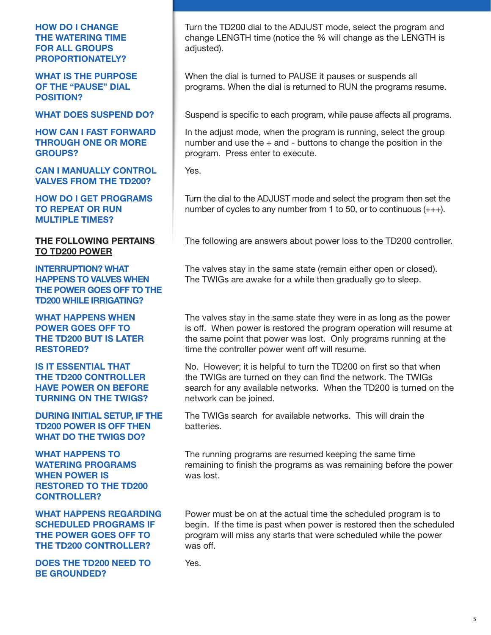#### HOW DO I CHANGE THE WATERING TIME FOR ALL GROUPS PROPORTIONATELY?

WHAT IS THE PURPOSE OF THE "PAUSE" DIAL POSITION?

WHAT DOES SUSPEND DO?

HOW CAN I FAST FORWARD THROUGH ONE OR MORE GROUPS?

CAN I MANUALLY CONTROL VALVES FROM THE TD200?

HOW DO I GET PROGRAMS TO REPEAT OR RUN MULTIPLE TIMES?

THE FOLLOWING PERTAINS TO TD200 POWER

INTERRUPTION? WHAT HAPPENS TO VALVES WHEN THE POWER GOES OFF TO THE TD200 WHILE IRRIGATING?

WHAT HAPPENS WHEN POWER GOES OFF TO THE TD200 BUT IS LATER RESTORED?

IS IT ESSENTIAL THAT THE TD200 CONTROLLER HAVE POWER ON BEFORE TURNING ON THE TWIGS?

DURING INITIAL SETUP, IF THE TD200 POWER IS OFF THEN WHAT DO THE TWIGS DO?

WHAT HAPPENS TO WATERING PROGRAMS WHEN POWER IS RESTORED TO THE TD200 CONTROLLER?

WHAT HAPPENS REGARDING SCHEDULED PROGRAMS IF THE POWER GOES OFF TO THE TD200 CONTROLLER?

DOES THE TD200 NEED TO BE GROUNDED?

Turn the TD200 dial to the ADJUST mode, select the program and change LENGTH time (notice the % will change as the LENGTH is adjusted).

When the dial is turned to PAUSE it pauses or suspends all programs. When the dial is returned to RUN the programs resume.

Suspend is specific to each program, while pause affects all programs.

In the adjust mode, when the program is running, select the group number and use the + and - buttons to change the position in the program. Press enter to execute.

Yes.

Turn the dial to the ADJUST mode and select the program then set the number of cycles to any number from 1 to 50, or to continuous (+++).

The following are answers about power loss to the TD200 controller.

The valves stay in the same state (remain either open or closed). The TWIGs are awake for a while then gradually go to sleep.

The valves stay in the same state they were in as long as the power is off. When power is restored the program operation will resume at the same point that power was lost. Only programs running at the time the controller power went off will resume.

No. However; it is helpful to turn the TD200 on first so that when the TWIGs are turned on they can find the network. The TWIGs search for any available networks. When the TD200 is turned on the network can be joined.

The TWIGs search for available networks. This will drain the batteries.

The running programs are resumed keeping the same time remaining to finish the programs as was remaining before the power was lost.

Power must be on at the actual time the scheduled program is to begin. If the time is past when power is restored then the scheduled program will miss any starts that were scheduled while the power was off.

Yes.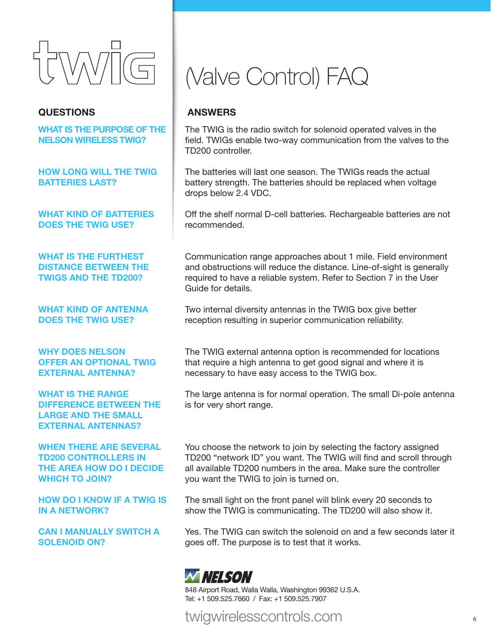

WHAT IS THE PURPOSE OF THE NELSON WIRELESS TWIG?

HOW LONG WILL THE TWIG BATTERIES LAST?

WHAT KIND OF BATTERIES DOES THE TWIG USE?

WHAT IS THE FURTHEST DISTANCE BETWEEN THE TWIGS AND THE TD200?

WHAT KIND OF ANTENNA DOES THE TWIG USE?

WHY DOES NELSON OFFER AN OPTIONAL TWIG EXTERNAL ANTENNA?

WHAT IS THE RANGE DIFFERENCE BETWEEN THE LARGE AND THE SMALL EXTERNAL ANTENNAS?

WHEN THERE ARE SEVERAL TD200 CONTROLLERS IN THE AREA HOW DO I DECIDE WHICH TO JOIN?

HOW DO I KNOW IF A TWIG IS IN A NETWORK?

CAN I MANUALLY SWITCH A SOLENOID ON?

## (Valve Control) FAQ

The TWIG is the radio switch for solenoid operated valves in the field. TWIGs enable two-way communication from the valves to the TD200 controller.

The batteries will last one season. The TWIGs reads the actual battery strength. The batteries should be replaced when voltage drops below 2.4 VDC.

Off the shelf normal D-cell batteries. Rechargeable batteries are not recommended.

Communication range approaches about 1 mile. Field environment and obstructions will reduce the distance. Line-of-sight is generally required to have a reliable system. Refer to Section 7 in the User Guide for details.

Two internal diversity antennas in the TWIG box give better reception resulting in superior communication reliability.

The TWIG external antenna option is recommended for locations that require a high antenna to get good signal and where it is necessary to have easy access to the TWIG box.

The large antenna is for normal operation. The small Di-pole antenna is for very short range.

You choose the network to join by selecting the factory assigned TD200 "network ID" you want. The TWIG will find and scroll through all available TD200 numbers in the area. Make sure the controller you want the TWIG to join is turned on.

The small light on the front panel will blink every 20 seconds to show the TWIG is communicating. The TD200 will also show it.

Yes. The TWIG can switch the solenoid on and a few seconds later it goes off. The purpose is to test that it works.

### *'|‡K{0}}*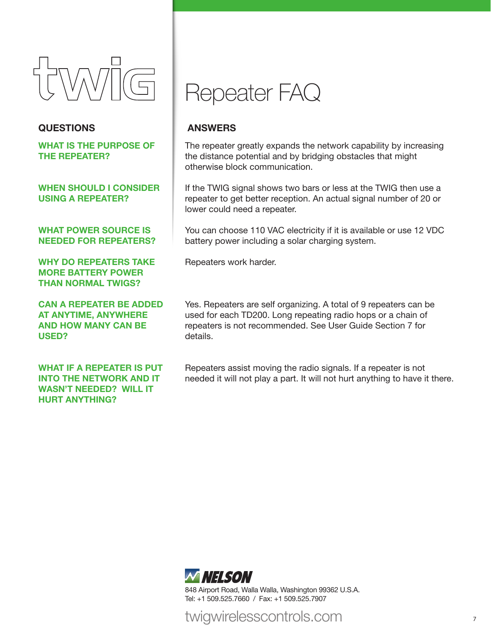

WHAT IS THE PURPOSE OF THE REPEATER?

WHEN SHOULD I CONSIDER USING A REPEATER?

WHAT POWER SOURCE IS NEEDED FOR REPEATERS?

WHY DO REPEATERS TAKE MORE BATTERY POWER THAN NORMAL TWIGS?

CAN A REPEATER BE ADDED AT ANYTIME, ANYWHERE AND HOW MANY CAN BE USED?

WHAT IF A REPEATER IS PUT INTO THE NETWORK AND IT WASN'T NEEDED? WILL IT HURT ANYTHING?

## Repeater FAQ

The repeater greatly expands the network capability by increasing the distance potential and by bridging obstacles that might otherwise block communication.

If the TWIG signal shows two bars or less at the TWIG then use a repeater to get better reception. An actual signal number of 20 or lower could need a repeater.

You can choose 110 VAC electricity if it is available or use 12 VDC battery power including a solar charging system.

Repeaters work harder.

Yes. Repeaters are self organizing. A total of 9 repeaters can be used for each TD200. Long repeating radio hops or a chain of repeaters is not recommended. See User Guide Section 7 for details.

Repeaters assist moving the radio signals. If a repeater is not needed it will not play a part. It will not hurt anything to have it there.